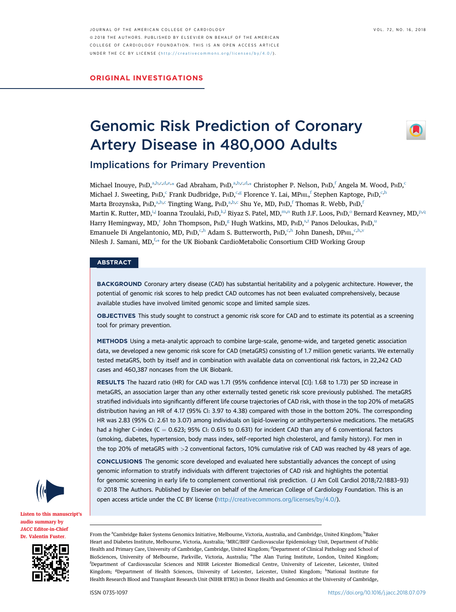JOURNAL OF THE AMERICAN COLLEGE OF CARDIOLOGY VOL. 72, NO. 16, 2018 ª 2018 THE AUTHORS. PUBLISHED BY ELSEVIER ON BEHALF OF THE AMERICAN COLLEGE OF CARDIOLOGY FOUNDATION . THIS IS AN OPEN ACCESS ARTICLE UNDER THE CC BY LICENSE ( <http://creativecommons.org/licenses/by/4.0/> ) .

ORIGINAL INVESTIGATIONS

# Genomic Risk Prediction of Coronary Artery Disease in 480,000 Adults



Implications for Primary Prevention

Michael Inouye, P $H$ D,<sup>a,b,c,d,e,[\\*](#page-1-0)</sup> Gad Abraham, P $H$ D,<sup>a,b,c,d,\*</sup> Christopher P. Nelson, P $H$ D,<sup>f</sup> Angela M. Wood, P $H$ D,<sup>c</sup> Michael J. Sweeting, PHD,<sup>c</sup> Frank Dudbridge, PHD,<sup>c,g</sup> Florence Y. Lai, MP<sub>HIL,</sub>f Stephen Kaptoge, PHD,<sup>c,h</sup> Marta Brozynska, P $HD^{a,b,c}$  Tingting Wang, P $HD^{a,b,c}$  Shu Ye, MD, P $HD^f$  Thomas R. Webb, P $HD^f$ Mart[i](#page-1-0)n K. Rutter, MD,<sup>i,[j](#page-1-0)</sup> Ioanna Tzoulaki, P<code>HD,</code><sup>[k,l](#page-1-0)</sup> Riyaz S. Patel, MD,™,n Ruth J.F. L[o](#page-1-0)os, P<code>HD, $^{\rm o}$  Bernard Keavney, MD,</code>  $^{\rm p,q}$  $^{\rm p,q}$  $^{\rm p,q}$ Ha[r](#page-1-0)ry Hemingway, MD,<s[u](#page-1-0)p>r</sup> John Thompson, P $HD$ ,<sup>g</sup> Hugh Watkins, MD, P $HD$ ,<sup>[s,t](#page-1-0)</sup> Panos Deloukas, P $HD$ ,<sup>u</sup> Emanuele Di Angelantonio, MD, PHD,<sup>c,h</sup> Adam S. Butterworth, PHD,<sup>c,h</sup> John Danesh, DPHIL,<sup>c,h[,v](#page-1-0)</sup> Nilesh J. Samani, MD,<sup>f,[\\*](#page-1-0)</sup> for the UK Biobank CardioMetabolic Consortium CHD Working Group

## **ABSTRACT**

BACKGROUND Coronary artery disease (CAD) has substantial heritability and a polygenic architecture. However, the potential of genomic risk scores to help predict CAD outcomes has not been evaluated comprehensively, because available studies have involved limited genomic scope and limited sample sizes.

OBJECTIVES This study sought to construct a genomic risk score for CAD and to estimate its potential as a screening tool for primary prevention.

METHODS Using a meta-analytic approach to combine large-scale, genome-wide, and targeted genetic association data, we developed a new genomic risk score for CAD (metaGRS) consisting of 1.7 million genetic variants. We externally tested metaGRS, both by itself and in combination with available data on conventional risk factors, in 22,242 CAD cases and 460,387 noncases from the UK Biobank.

RESULTS The hazard ratio (HR) for CAD was 1.71 (95% confidence interval [CI]: 1.68 to 1.73) per SD increase in metaGRS, an association larger than any other externally tested genetic risk score previously published. The metaGRS stratified individuals into significantly different life course trajectories of CAD risk, with those in the top 20% of metaGRS distribution having an HR of 4.17 (95% CI: 3.97 to 4.38) compared with those in the bottom 20%. The corresponding HR was 2.83 (95% CI: 2.61 to 3.07) among individuals on lipid-lowering or antihypertensive medications. The metaGRS had a higher C-index (C =  $0.623$ ; 95% CI: 0.615 to 0.631) for incident CAD than any of 6 conventional factors (smoking, diabetes, hypertension, body mass index, self-reported high cholesterol, and family history). For men in the top 20% of metaGRS with >2 conventional factors, 10% cumulative risk of CAD was reached by 48 years of age.

CONCLUSIONS The genomic score developed and evaluated here substantially advances the concept of using genomic information to stratify individuals with different trajectories of CAD risk and highlights the potential for genomic screening in early life to complement conventional risk prediction. (J Am Coll Cardiol 2018;72:1883–93) © 2018 The Authors. Published by Elsevier on behalf of the American College of Cardiology Foundation. This is an open access article under the CC BY license [\(http://creativecommons.org/licenses/by/4.0/](http://creativecommons.org/licenses/by/4.0/)).



[Listen to this manuscript](https://s3.amazonaws.com/ADFJACC/JACC7216/JACC7216_fustersummary_01)'s [audio summary by](https://s3.amazonaws.com/ADFJACC/JACC7216/JACC7216_fustersummary_01) JACC [Editor-in-Chief](https://s3.amazonaws.com/ADFJACC/JACC7216/JACC7216_fustersummary_01) [Dr. Valentin Fuster](https://s3.amazonaws.com/ADFJACC/JACC7216/JACC7216_fustersummary_01).



From the <sup>a</sup>Cambridge Baker Systems Genomics Initiative, Melbourne, Victoria, Australia, and Cambridge, United Kingdom; <sup>b</sup>Baker Heart and Diabetes Institute, Melbourne, Victoria, Australia; CMRC/BHF Cardiovascular Epidemiology Unit, Department of Public Health and Primary Care, University of Cambridge, Cambridge, United Kingdom; <sup>d</sup>Department of Clinical Pathology and School of BioSciences, University of Melbourne, Parkville, Victoria, Australia; <sup>er</sup>fhe Alan Turing Institute, London, United Kingdom; f Department of Cardiovascular Sciences and NIHR Leicester Biomedical Centre, University of Leicester, Leicester, United Kingdom; <sup>g</sup>Department of Health Sciences, University of Leicester, Leicester, United Kingdom; <sup>h</sup>National Institute for Health Research Blood and Transplant Research Unit (NIHR BTRU) in Donor Health and Genomics at the University of Cambridge,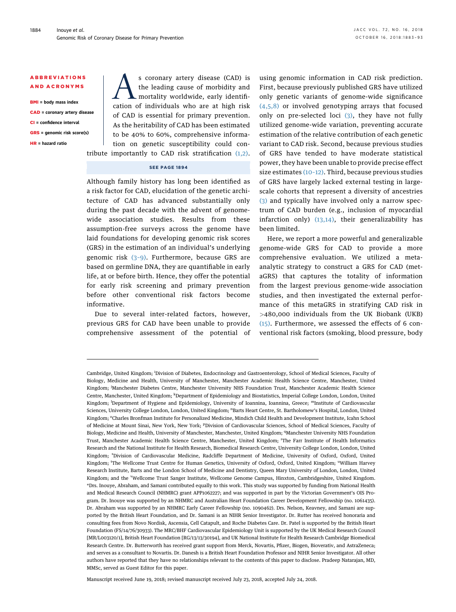#### <span id="page-1-0"></span>ABBREVIATIONS AND ACRONYMS

BMI = body mass index

CAD = coronary artery disease

CI = confidence interval

GRS = genomic risk score(s)

HR = hazard ratio

s coronary artery disease (CAD) is<br>the leading cause of morbidity and<br>mortality worldwide, early identifi-<br>cation of individuals who are at high risk the leading cause of morbidity and mortality worldwide, early identification of individuals who are at high risk of CAD is essential for primary prevention. As the heritability of CAD has been estimated to be 40% to 60%, comprehensive information on genetic susceptibility could contribute importantly to CAD risk stratification  $(1,2)$ .

### SEE PAGE 1894

Although family history has long been identified as a risk factor for CAD, elucidation of the genetic architecture of CAD has advanced substantially only during the past decade with the advent of genomewide association studies. Results from these assumption-free surveys across the genome have laid foundations for developing genomic risk scores (GRS) in the estimation of an individual's underlying genomic risk (3–[9\).](#page-10-0) Furthermore, because GRS are based on germline DNA, they are quantifiable in early life, at or before birth. Hence, they offer the potential for early risk screening and primary prevention before other conventional risk factors become informative.

Due to several inter-related factors, however, previous GRS for CAD have been unable to provide comprehensive assessment of the potential of using genomic information in CAD risk prediction. First, because previously published GRS have utilized only genetic variants of genome-wide significance [\(4,5,8\)](#page-10-0) or involved genotyping arrays that focused only on pre-selected loci [\(3\),](#page-10-0) they have not fully utilized genome-wide variation, preventing accurate estimation of the relative contribution of each genetic variant to CAD risk. Second, because previous studies of GRS have tended to have moderate statistical power, they have been unable to provide precise effect size estimates [\(10](#page-10-0)–12). Third, because previous studies of GRS have largely lacked external testing in largescale cohorts that represent a diversity of ancestries [\(3\)](#page-10-0) and typically have involved only a narrow spectrum of CAD burden (e.g., inclusion of myocardial infarction only)  $(13,14)$ , their generalizability has been limited.

Here, we report a more powerful and generalizable genome-wide GRS for CAD to provide a more comprehensive evaluation. We utilized a metaanalytic strategy to construct a GRS for CAD (metaGRS) that captures the totality of information from the largest previous genome-wide association studies, and then investigated the external performance of this metaGRS in stratifying CAD risk in >480,000 individuals from the UK Biobank (UKB) [\(15\).](#page-10-0) Furthermore, we assessed the effects of 6 conventional risk factors (smoking, blood pressure, body

Manuscript received June 19, 2018; revised manuscript received July 23, 2018, accepted July 24, 2018.

Cambridge, United Kingdom; <sup>i</sup>Division of Diabetes, Endocrinology and Gastroenterology, School of Medical Sciences, Faculty of Biology, Medicine and Health, University of Manchester, Manchester Academic Health Science Centre, Manchester, United Kingdom; Manchester Diabetes Centre, Manchester University NHS Foundation Trust, Manchester Academic Health Science Centre, Manchester, United Kingdom; <sup>k</sup>Department of Epidemiology and Biostatistics, Imperial College London, London, United Kingdom; <sup>1</sup>Department of Hygiene and Epidemiology, University of Ioannina, Ioannina, Greece; <sup>m</sup>Institute of Cardiovascular Sciences, University College London, London, United Kingdom; "Barts Heart Centre, St. Bartholomew's Hospital, London, United Kingdom; <sup>o</sup>Charles Bronfman Institute for Personalized Medicine, Mindich Child Health and Development Institute, Icahn School of Medicine at Mount Sinai, New York, New York; <sup>p</sup>Division of Cardiovascular Sciences, School of Medical Sciences, Faculty of Biology, Medicine and Health, University of Manchester, Manchester, United Kingdom; <sup>q</sup>Manchester University NHS Foundation Trust, Manchester Academic Health Science Centre, Manchester, United Kingdom; <sup>r</sup>The Farr Institute of Health Informatics Research and the National Institute for Health Research, Biomedical Research Centre, University College London, London, United Kingdom; <sup>s</sup>Division of Cardiovascular Medicine, Radcliffe Department of Medicine, University of Oxford, Oxford, United Kingdom; <sup>t</sup>The Wellcome Trust Centre for Human Genetics, University of Oxford, Oxford, United Kingdom; <sup>u</sup>William Harvey Research Institute, Barts and the London School of Medicine and Dentistry, Queen Mary University of London, London, United Kingdom; and the <sup>v</sup> Wellcome Trust Sanger Institute, Wellcome Genome Campus, Hinxton, Cambridgeshire, United Kingdom. \*Drs. Inouye, Abraham, and Samani contributed equally to this work. This study was supported by funding from National Health and Medical Research Council (NHMRC) grant APP1062227; and was supported in part by the Victorian Government's OIS Program. Dr. Inouye was supported by an NHMRC and Australian Heart Foundation Career Development Fellowship (no. 1061435). Dr. Abraham was supported by an NHMRC Early Career Fellowship (no. 1090462). Drs. Nelson, Keavney, and Samani are supported by the British Heart Foundation, and Dr. Samani is an NIHR Senior Investigator. Dr. Rutter has received honoraria and consulting fees from Novo Nordisk, Ascensia, Cell Catapult, and Roche Diabetes Care. Dr. Patel is supported by the British Heart Foundation (FS/14/76/30933). The MRC/BHF Cardiovascular Epidemiology Unit is supported by the UK Medical Research Council [MR/L003120/1], British Heart Foundation [RG/13/13/30194], and UK National Institute for Health Research Cambridge Biomedical Research Centre. Dr. Butterworth has received grant support from Merck, Novartis, Pfizer, Biogen, Bioverativ, and AstraZeneca; and serves as a consultant to Novartis. Dr. Danesh is a British Heart Foundation Professor and NIHR Senior Investigator. All other authors have reported that they have no relationships relevant to the contents of this paper to disclose. Pradeep Natarajan, MD, MMSc, served as Guest Editor for this paper.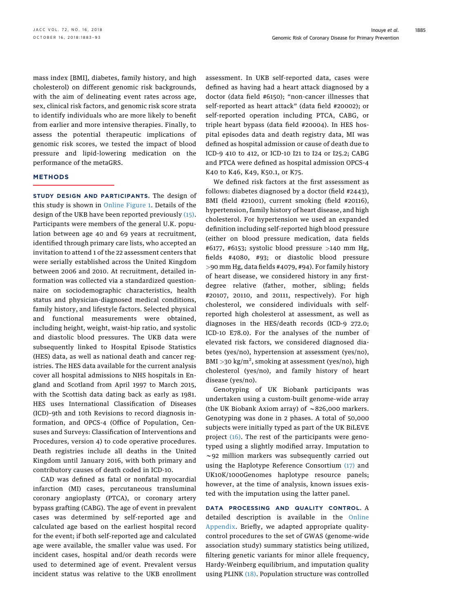mass index [BMI], diabetes, family history, and high cholesterol) on different genomic risk backgrounds, with the aim of delineating event rates across age, sex, clinical risk factors, and genomic risk score strata to identify individuals who are more likely to benefit from earlier and more intensive therapies. Finally, to assess the potential therapeutic implications of genomic risk scores, we tested the impact of blood pressure and lipid-lowering medication on the performance of the metaGRS.

#### **METHODS**

STUDY DESIGN AND PARTICIPANTS. The design of this study is shown in [Online Figure 1.](https://doi.org/10.1016/j.jacc.2018.07.079) Details of the design of the UKB have been reported previously [\(15\).](#page-10-0) Participants were members of the general U.K. population between age 40 and 69 years at recruitment, identified through primary care lists, who accepted an invitation to attend 1 of the 22 assessment centers that were serially established across the United Kingdom between 2006 and 2010. At recruitment, detailed information was collected via a standardized questionnaire on sociodemographic characteristics, health status and physician-diagnosed medical conditions, family history, and lifestyle factors. Selected physical and functional measurements were obtained, including height, weight, waist-hip ratio, and systolic and diastolic blood pressures. The UKB data were subsequently linked to Hospital Episode Statistics (HES) data, as well as national death and cancer registries. The HES data available for the current analysis cover all hospital admissions to NHS hospitals in England and Scotland from April 1997 to March 2015, with the Scottish data dating back as early as 1981. HES uses International Classification of Diseases (ICD)–9th and 10th Revisions to record diagnosis information, and OPCS-4 (Office of Population, Censuses and Surveys: Classification of Interventions and Procedures, version 4) to code operative procedures. Death registries include all deaths in the United Kingdom until January 2016, with both primary and contributory causes of death coded in ICD-10.

CAD was defined as fatal or nonfatal myocardial infarction (MI) cases, percutaneous transluminal coronary angioplasty (PTCA), or coronary artery bypass grafting (CABG). The age of event in prevalent cases was determined by self-reported age and calculated age based on the earliest hospital record for the event; if both self-reported age and calculated age were available, the smaller value was used. For incident cases, hospital and/or death records were used to determined age of event. Prevalent versus incident status was relative to the UKB enrollment assessment. In UKB self-reported data, cases were defined as having had a heart attack diagnosed by a doctor (data field #6150); "non-cancer illnesses that self-reported as heart attack" (data field #20002); or self-reported operation including PTCA, CABG, or triple heart bypass (data field #20004). In HES hospital episodes data and death registry data, MI was defined as hospital admission or cause of death due to ICD-9 410 to 412, or ICD-10 I21 to I24 or I25.2; CABG and PTCA were defined as hospital admission OPCS-4 K40 to K46, K49, K50.1, or K75.

We defined risk factors at the first assessment as follows: diabetes diagnosed by a doctor (field #2443), BMI (field #21001), current smoking (field #20116), hypertension, family history of heart disease, and high cholesterol. For hypertension we used an expanded definition including self-reported high blood pressure (either on blood pressure medication, data fields #6177, #6153; systolic blood pressure >140 mm Hg, fields #4080, #93; or diastolic blood pressure >90 mm Hg, data fields #4079, #94). For family history of heart disease, we considered history in any firstdegree relative (father, mother, sibling; fields #20107, 20110, and 20111, respectively). For high cholesterol, we considered individuals with selfreported high cholesterol at assessment, as well as diagnoses in the HES/death records (ICD-9 272.0; ICD-10 E78.0). For the analyses of the number of elevated risk factors, we considered diagnosed diabetes (yes/no), hypertension at assessment (yes/no), BMI >30 kg/m<sup>2</sup>, smoking at assessment (yes/no), high cholesterol (yes/no), and family history of heart disease (yes/no).

Genotyping of UK Biobank participants was undertaken using a custom-built genome-wide array (the UK Biobank Axiom array) of  $\sim$  826,000 markers. Genotyping was done in 2 phases. A total of 50,000 subjects were initially typed as part of the UK BiLEVE project [\(16\)](#page-10-0). The rest of the participants were genotyped using a slightly modified array. Imputation to  $\sim$ 92 million markers was subsequently carried out using the Haplotype Reference Consortium [\(17\)](#page-10-0) and UK10K/1000Genomes haplotype resource panels; however, at the time of analysis, known issues existed with the imputation using the latter panel.

DATA PROCESSING AND QUALITY CONTROL. A detailed description is available in the [Online](https://doi.org/10.1016/j.jacc.2018.07.079) [Appendix.](https://doi.org/10.1016/j.jacc.2018.07.079) Briefly, we adapted appropriate qualitycontrol procedures to the set of GWAS (genome-wide association study) summary statistics being utilized, filtering genetic variants for minor allele frequency, Hardy-Weinberg equilibrium, and imputation quality using PLINK [\(18\).](#page-10-0) Population structure was controlled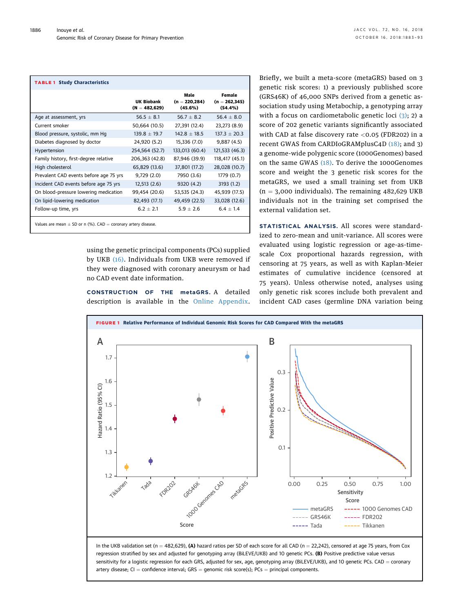<span id="page-3-0"></span>

| <b>TABLE 1 Study Characteristics</b>                              |                               |                                     |                                       |
|-------------------------------------------------------------------|-------------------------------|-------------------------------------|---------------------------------------|
|                                                                   | UK Biobank<br>$(N = 482,629)$ | Male<br>$(n = 220, 284)$<br>(45.6%) | Female<br>$(n = 262, 345)$<br>(54.4%) |
| Age at assessment, yrs                                            | $56.5 + 8.1$                  | $56.7 + 8.2$                        | 56.4 $\pm$ 8.0                        |
| Current smoker                                                    | 50,664 (10.5)                 | 27,391 (12.4)                       | 23,273 (8.9)                          |
| Blood pressure, systolic, mm Hg                                   | $139.8 \pm 19.7$              | $142.8 + 18.5$                      | $137.3 + 20.3$                        |
| Diabetes diagnosed by doctor                                      | 24,920 (5.2)                  | 15,336 (7.0)                        | 9,887(4.5)                            |
| Hypertension                                                      | 254,564 (52.7)                | 133,013 (60.4)                      | 121,533 (46.3)                        |
| Family history, first-degree relative                             | 206,363 (42.8)                | 87,946 (39.9)                       | 118,417 (45.1)                        |
| High cholesterol                                                  | 65,829 (13.6)                 | 37,801 (17.2)                       | 28,028 (10.7)                         |
| Prevalent CAD events before age 75 yrs                            | 9,729(2.0)                    | 7950 (3.6)                          | 1779 (0.7)                            |
| Incident CAD events before age 75 yrs                             | 12,513(2.6)                   | 9320 (4.2)                          | 3193(1.2)                             |
| On blood-pressure lowering medication                             | 99,454 (20.6)                 | 53,535 (24.3)                       | 45,939 (17.5)                         |
| On lipid-lowering medication                                      | 82,493 (17.1)                 | 49,459 (22.5)                       | 33,028 (12.6)                         |
| Follow-up time, yrs                                               | $6.2 \pm 2.1$                 | $5.9 \pm 2.6$                       | $6.4 + 1.4$                           |
| Values are mean $\pm$ SD or n (%). CAD = coronary artery disease. |                               |                                     |                                       |

using the genetic principal components (PCs) supplied by UKB [\(16\)](#page-10-0). Individuals from UKB were removed if they were diagnosed with coronary aneurysm or had no CAD event date information.

CONSTRUCTION OF THE metaGRS. A detailed description is available in the [Online Appendix.](https://doi.org/10.1016/j.jacc.2018.07.079) Briefly, we built a meta-score (metaGRS) based on 3 genetic risk scores: 1) a previously published score (GRS46K) of 46,000 SNPs derived from a genetic association study using Metabochip, a genotyping array with a focus on cardiometabolic genetic loci  $(3)$ ; 2) a score of 202 genetic variants significantly associated with CAD at false discovery rate <0.05 (FDR202) in a recent GWAS from CARDIoGRAMplusC4D [\(18\)](#page-10-0); and 3) a genome-wide polygenic score (1000Genomes) based on the same GWAS [\(18\)](#page-10-0). To derive the 1000Genomes score and weight the 3 genetic risk scores for the metaGRS, we used a small training set from UKB  $(n = 3,000$  individuals). The remaining 482,629 UKB individuals not in the training set comprised the external validation set.

STATISTICAL ANALYSIS. All scores were standardized to zero-mean and unit-variance. All scores were evaluated using logistic regression or age-as-timescale Cox proportional hazards regression, with censoring at 75 years, as well as with Kaplan-Meier estimates of cumulative incidence (censored at 75 years). Unless otherwise noted, analyses using only genetic risk scores include both prevalent and incident CAD cases (germline DNA variation being



In the UKB validation set (n = 482,629), (A) hazard ratios per SD of each score for all CAD (n = 22,242), censored at age 75 years, from Cox regression stratified by sex and adjusted for genotyping array (BiLEVE/UKB) and 10 genetic PCs. (B) Positive predictive value versus sensitivity for a logistic regression for each GRS, adjusted for sex, age, genotyping array (BiLEVE/UKB), and 10 genetic PCs. CAD = coronary artery disease;  $CI = confidence$  interval; GRS = genomic risk score(s); PCs = principal components.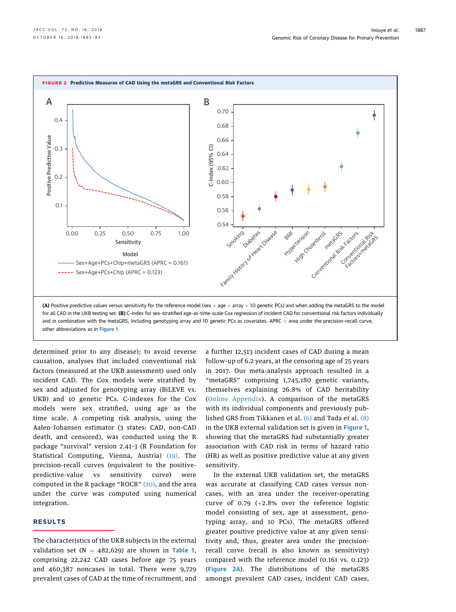<span id="page-4-0"></span>

and in combination with the metaGRS, including genotyping array and 10 genetic PCs as covariates. APRC = area under the precision-recall curve; other abbreviations as in [Figure 1](#page-3-0).

determined prior to any disease); to avoid reverse causation, analyses that included conventional risk factors (measured at the UKB assessment) used only incident CAD. The Cox models were stratified by sex and adjusted for genotyping array (BiLEVE vs. UKB) and 10 genetic PCs. C-indexes for the Cox models were sex stratified, using age as the time scale. A competing risk analysis, using the Aalen-Johansen estimator (3 states: CAD, non-CAD death, and censored), was conducted using the R package "survival" version 2.41-3 (R Foundation for Statistical Computing, Vienna, Austria) [\(19\).](#page-10-0) The precision-recall curves (equivalent to the positivepredictive-value vs sensitivity curve) were computed in the R package "ROCR" [\(20\)](#page-10-0), and the area under the curve was computed using numerical integration.

## RESULTS

The characteristics of the UKB subjects in the external validation set ( $N = 482,629$ ) are shown in [Table 1](#page-3-0), comprising 22,242 CAD cases before age 75 years and 460,387 noncases in total. There were 9,729 prevalent cases of CAD at the time of recruitment, and a further 12,513 incident cases of CAD during a mean follow-up of 6.2 years, at the censoring age of 75 years in 2017. Our meta-analysis approach resulted in a "metaGRS" comprising 1,745,180 genetic variants, themselves explaining 26.8% of CAD heritability ([Online Appendix\)](https://doi.org/10.1016/j.jacc.2018.07.079). A comparison of the metaGRS with its individual components and previously published GRS from Tikkanen et al. [\(6\)](#page-10-0) and Tada et al. [\(8\)](#page-10-0) in the UKB external validation set is given in [Figure 1](#page-3-0), showing that the metaGRS had substantially greater association with CAD risk in terms of hazard ratio (HR) as well as positive predictive value at any given sensitivity.

In the external UKB validation set, the metaGRS was accurate at classifying CAD cases versus noncases, with an area under the receiver-operating curve of 0.79  $(+2.8\%$  over the reference logistic model consisting of sex, age at assessment, genotyping array, and 10 PCs). The metaGRS offered greater positive predictive value at any given sensitivity and, thus, greater area under the precisionrecall curve (recall is also known as sensitivity) compared with the reference model (0.161 vs. 0.123) (Figure 2A). The distributions of the metaGRS amongst prevalent CAD cases, incident CAD cases,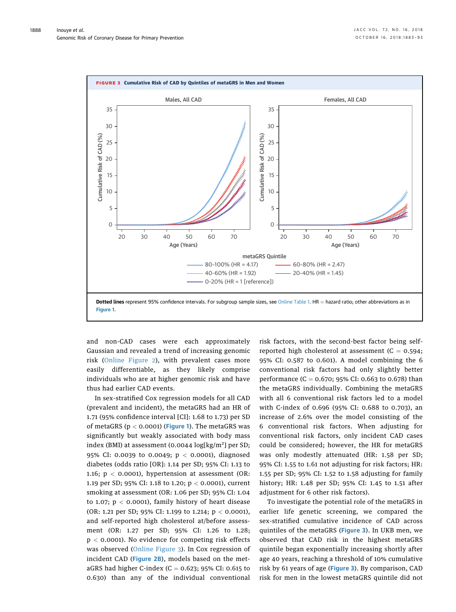<span id="page-5-0"></span>

and non-CAD cases were each approximately Gaussian and revealed a trend of increasing genomic risk ([Online Figure 2\)](https://doi.org/10.1016/j.jacc.2018.07.079), with prevalent cases more easily differentiable, as they likely comprise individuals who are at higher genomic risk and have thus had earlier CAD events.

In sex-stratified Cox regression models for all CAD (prevalent and incident), the metaGRS had an HR of 1.71 (95% confidence interval [CI]: 1.68 to 1.73) per SD of metaGRS ( $p < 0.0001$ ) ([Figure 1](#page-3-0)). The metaGRS was significantly but weakly associated with body mass index (BMI) at assessment (0.0044 log[kg/m<sup>2</sup>] per SD; 95% CI: 0.0039 to 0.0049; p < 0.0001), diagnosed diabetes (odds ratio [OR]: 1.14 per SD; 95% CI: 1.13 to 1.16;  $p < 0.0001$ ), hypertension at assessment (OR: 1.19 per SD; 95% CI: 1.18 to 1.20; p < 0.0001), current smoking at assessment (OR: 1.06 per SD; 95% CI: 1.04 to 1.07;  $p < 0.0001$ , family history of heart disease (OR: 1.21 per SD; 95% CI: 1.199 to 1.214;  $p < 0.0001$ ), and self-reported high cholesterol at/before assessment (OR: 1.27 per SD; 95% CI: 1.26 to 1.28;  $p < 0.0001$ ). No evidence for competing risk effects was observed [\(Online Figure 3\)](https://doi.org/10.1016/j.jacc.2018.07.079). In Cox regression of incident CAD ([Figure 2B](#page-4-0)), models based on the metaGRS had higher C-index (C =  $0.623$ ; 95% CI: 0.615 to 0.630) than any of the individual conventional risk factors, with the second-best factor being selfreported high cholesterol at assessment  $(C = 0.594;$ 95% CI: 0.587 to 0.601). A model combining the 6 conventional risk factors had only slightly better performance (C = 0.670; 95% CI: 0.663 to 0.678) than the metaGRS individually. Combining the metaGRS with all 6 conventional risk factors led to a model with C-index of 0.696 (95% CI: 0.688 to 0.703), an increase of 2.6% over the model consisting of the 6 conventional risk factors. When adjusting for conventional risk factors, only incident CAD cases could be considered; however, the HR for metaGRS was only modestly attenuated (HR: 1.58 per SD; 95% CI: 1.55 to 1.61 not adjusting for risk factors; HR: 1.55 per SD; 95% CI: 1.52 to 1.58 adjusting for family history; HR: 1.48 per SD; 95% CI: 1.45 to 1.51 after adjustment for 6 other risk factors).

To investigate the potential role of the metaGRS in earlier life genetic screening, we compared the sex-stratified cumulative incidence of CAD across quintiles of the metaGRS (Figure 3). In UKB men, we observed that CAD risk in the highest metaGRS quintile began exponentially increasing shortly after age 40 years, reaching a threshold of 10% cumulative risk by 61 years of age (Figure 3). By comparison, CAD risk for men in the lowest metaGRS quintile did not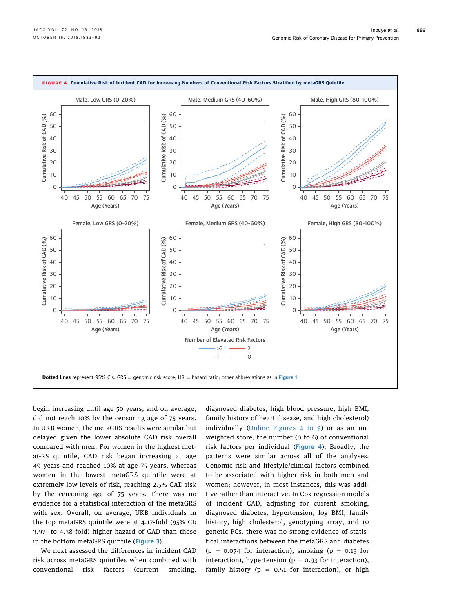<span id="page-6-0"></span>

begin increasing until age 50 years, and on average, did not reach 10% by the censoring age of 75 years. In UKB women, the metaGRS results were similar but delayed given the lower absolute CAD risk overall compared with men. For women in the highest metaGRS quintile, CAD risk began increasing at age 49 years and reached 10% at age 75 years, whereas women in the lowest metaGRS quintile were at extremely low levels of risk, reaching 2.5% CAD risk by the censoring age of 75 years. There was no evidence for a statistical interaction of the metaGRS with sex. Overall, on average, UKB individuals in the top metaGRS quintile were at 4.17-fold (95% CI: 3.97- to 4.38-fold) higher hazard of CAD than those in the bottom metaGRS quintile ([Figure 3](#page-5-0)).

We next assessed the differences in incident CAD risk across metaGRS quintiles when combined with conventional risk factors (current smoking,

diagnosed diabetes, high blood pressure, high BMI, family history of heart disease, and high cholesterol) individually ([Online Figures 4 to 9\)](https://doi.org/10.1016/j.jacc.2018.07.079) or as an unweighted score, the number (0 to 6) of conventional risk factors per individual (Figure 4). Broadly, the patterns were similar across all of the analyses. Genomic risk and lifestyle/clinical factors combined to be associated with higher risk in both men and women; however, in most instances, this was additive rather than interactive. In Cox regression models of incident CAD, adjusting for current smoking, diagnosed diabetes, hypertension, log BMI, family history, high cholesterol, genotyping array, and 10 genetic PCs, there was no strong evidence of statistical interactions between the metaGRS and diabetes  $(p = 0.074$  for interaction), smoking  $(p = 0.13$  for interaction), hypertension ( $p = 0.93$  for interaction), family history ( $p = 0.51$  for interaction), or high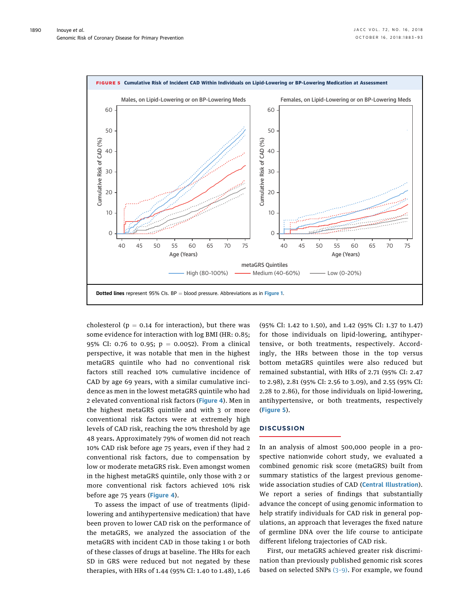

cholesterol ( $p = 0.14$  for interaction), but there was some evidence for interaction with log BMI (HR: 0.85; 95% CI: 0.76 to 0.95;  $p = 0.0052$ ). From a clinical perspective, it was notable that men in the highest metaGRS quintile who had no conventional risk factors still reached 10% cumulative incidence of CAD by age 69 years, with a similar cumulative incidence as men in the lowest metaGRS quintile who had 2 elevated conventional risk factors ([Figure 4](#page-6-0)). Men in the highest metaGRS quintile and with 3 or more conventional risk factors were at extremely high levels of CAD risk, reaching the 10% threshold by age 48 years. Approximately 79% of women did not reach 10% CAD risk before age 75 years, even if they had 2 conventional risk factors, due to compensation by low or moderate metaGRS risk. Even amongst women in the highest metaGRS quintile, only those with 2 or more conventional risk factors achieved 10% risk before age 75 years ([Figure 4](#page-6-0)).

To assess the impact of use of treatments (lipidlowering and antihypertensive medication) that have been proven to lower CAD risk on the performance of the metaGRS, we analyzed the association of the metaGRS with incident CAD in those taking 1 or both of these classes of drugs at baseline. The HRs for each SD in GRS were reduced but not negated by these therapies, with HRs of 1.44 (95% CI: 1.40 to 1.48), 1.46 (95% CI: 1.42 to 1.50), and 1.42 (95% CI: 1.37 to 1.47) for those individuals on lipid-lowering, antihypertensive, or both treatments, respectively. Accordingly, the HRs between those in the top versus bottom metaGRS quintiles were also reduced but remained substantial, with HRs of 2.71 (95% CI: 2.47 to 2.98), 2.81 (95% CI: 2.56 to 3.09), and 2.55 (95% CI: 2.28 to 2.86), for those individuals on lipid-lowering, antihypertensive, or both treatments, respectively (Figure 5).

#### **DISCUSSION**

In an analysis of almost 500,000 people in a prospective nationwide cohort study, we evaluated a combined genomic risk score (metaGRS) built from summary statistics of the largest previous genome-wide association studies of CAD ([Central Illustration](#page-8-0)). We report a series of findings that substantially advance the concept of using genomic information to help stratify individuals for CAD risk in general populations, an approach that leverages the fixed nature of germline DNA over the life course to anticipate different lifelong trajectories of CAD risk.

First, our metaGRS achieved greater risk discrimination than previously published genomic risk scores based on selected SNPs (3–[9\)](#page-10-0). For example, we found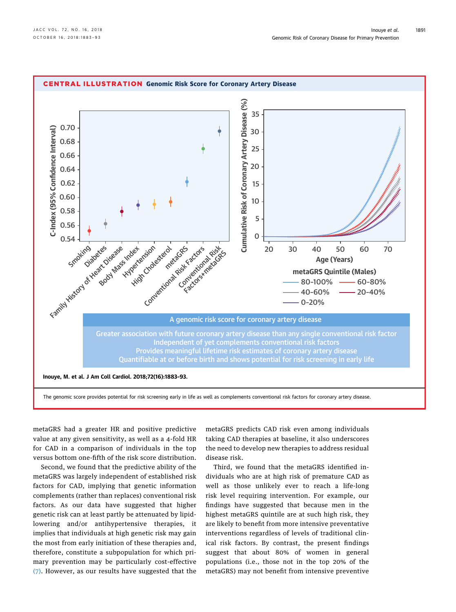<span id="page-8-0"></span>

metaGRS had a greater HR and positive predictive value at any given sensitivity, as well as a 4-fold HR for CAD in a comparison of individuals in the top versus bottom one-fifth of the risk score distribution.

Second, we found that the predictive ability of the metaGRS was largely independent of established risk factors for CAD, implying that genetic information complements (rather than replaces) conventional risk factors. As our data have suggested that higher genetic risk can at least partly be attenuated by lipidlowering and/or antihypertensive therapies, it implies that individuals at high genetic risk may gain the most from early initiation of these therapies and, therefore, constitute a subpopulation for which primary prevention may be particularly cost-effective [\(7\).](#page-10-0) However, as our results have suggested that the

metaGRS predicts CAD risk even among individuals taking CAD therapies at baseline, it also underscores the need to develop new therapies to address residual disease risk.

Third, we found that the metaGRS identified individuals who are at high risk of premature CAD as well as those unlikely ever to reach a life-long risk level requiring intervention. For example, our findings have suggested that because men in the highest metaGRS quintile are at such high risk, they are likely to benefit from more intensive preventative interventions regardless of levels of traditional clinical risk factors. By contrast, the present findings suggest that about 80% of women in general populations (i.e., those not in the top 20% of the metaGRS) may not benefit from intensive preventive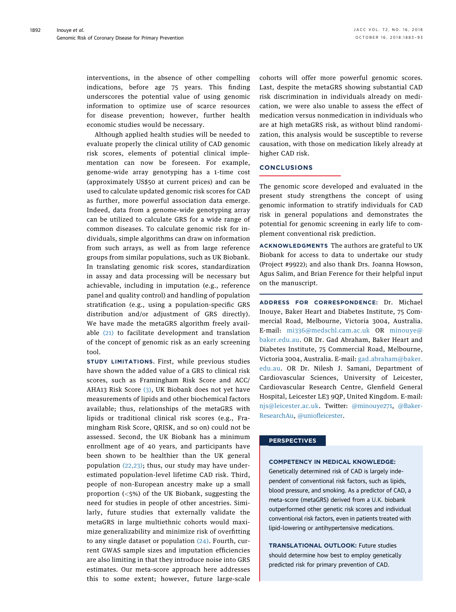interventions, in the absence of other compelling indications, before age 75 years. This finding underscores the potential value of using genomic information to optimize use of scarce resources for disease prevention; however, further health economic studies would be necessary.

Although applied health studies will be needed to evaluate properly the clinical utility of CAD genomic risk scores, elements of potential clinical implementation can now be foreseen. For example, genome-wide array genotyping has a 1-time cost (approximately US\$50 at current prices) and can be used to calculate updated genomic risk scores for CAD as further, more powerful association data emerge. Indeed, data from a genome-wide genotyping array can be utilized to calculate GRS for a wide range of common diseases. To calculate genomic risk for individuals, simple algorithms can draw on information from such arrays, as well as from large reference groups from similar populations, such as UK Biobank. In translating genomic risk scores, standardization in assay and data processing will be necessary but achievable, including in imputation (e.g., reference panel and quality control) and handling of population stratification (e.g., using a population-specific GRS distribution and/or adjustment of GRS directly). We have made the metaGRS algorithm freely available [\(21\)](#page-10-0) to facilitate development and translation of the concept of genomic risk as an early screening tool.

STUDY LIMITATIONS. First, while previous studies have shown the added value of a GRS to clinical risk scores, such as Framingham Risk Score and ACC/ AHA13 Risk Score [\(3\)](#page-10-0), UK Biobank does not yet have measurements of lipids and other biochemical factors available; thus, relationships of the metaGRS with lipids or traditional clinical risk scores (e.g., Framingham Risk Score, QRISK, and so on) could not be assessed. Second, the UK Biobank has a minimum enrollment age of 40 years, and participants have been shown to be healthier than the UK general population [\(22,23\)](#page-10-0); thus, our study may have underestimated population-level lifetime CAD risk. Third, people of non-European ancestry make up a small proportion (<5%) of the UK Biobank, suggesting the need for studies in people of other ancestries. Similarly, future studies that externally validate the metaGRS in large multiethnic cohorts would maximize generalizability and minimize risk of overfitting to any single dataset or population  $(24)$ . Fourth, current GWAS sample sizes and imputation efficiencies are also limiting in that they introduce noise into GRS estimates. Our meta-score approach here addresses this to some extent; however, future large-scale

cohorts will offer more powerful genomic scores. Last, despite the metaGRS showing substantial CAD risk discrimination in individuals already on medication, we were also unable to assess the effect of medication versus nonmedication in individuals who are at high metaGRS risk, as without blind randomization, this analysis would be susceptible to reverse causation, with those on medication likely already at higher CAD risk.

## **CONCLUSIONS**

The genomic score developed and evaluated in the present study strengthens the concept of using genomic information to stratify individuals for CAD risk in general populations and demonstrates the potential for genomic screening in early life to complement conventional risk prediction.

ACKNOWLEDGMENTS The authors are grateful to UK Biobank for access to data to undertake our study (Project #9922); and also thank Drs. Joanna Howson, Agus Salim, and Brian Ference for their helpful input on the manuscript.

ADDRESS FOR CORRESPONDENCE: Dr. Michael Inouye, Baker Heart and Diabetes Institute, 75 Commercial Road, Melbourne, Victoria 3004, Australia. E-mail: [mi336@medschl.cam.ac.uk](mailto:mi336@medschl.cam.ac.uk) OR [minouye@](mailto:minouye@baker.edu.au) [baker.edu.au.](mailto:minouye@baker.edu.au) OR Dr. Gad Abraham, Baker Heart and Diabetes Institute, 75 Commercial Road, Melbourne, Victoria 3004, Australia. E-mail: [gad.abraham@baker.](mailto:gad.abraham@baker.edu.au) [edu.au.](mailto:gad.abraham@baker.edu.au) OR Dr. Nilesh J. Samani, Department of Cardiovascular Sciences, University of Leicester, Cardiovascular Research Centre, Glenfield General Hospital, Leicester LE3 9QP, United Kingdom. E-mail: [njs@leicester.ac.uk.](mailto:njs@leicester.ac.uk) Twitter: [@minouye271,](https://twitter.com/minouye271) [@Baker-](https://twitter.com/BakerResearchAu)[ResearchAu](https://twitter.com/BakerResearchAu), @uniofl[eicester](https://twitter.com/uniofleicester).

#### **PERSPECTIVES**

#### COMPETENCY IN MEDICAL KNOWLEDGE:

Genetically determined risk of CAD is largely independent of conventional risk factors, such as lipids, blood pressure, and smoking. As a predictor of CAD, a meta-score (metaGRS) derived from a U.K. biobank outperformed other genetic risk scores and individual conventional risk factors, even in patients treated with lipid-lowering or antihypertensive medications.

TRANSLATIONAL OUTLOOK: Future studies should determine how best to employ genetically predicted risk for primary prevention of CAD.